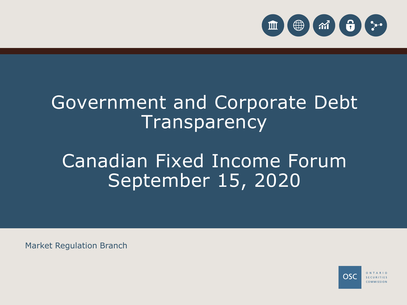

# Government and Corporate Debt **Transparency**

# Canadian Fixed Income Forum September 15, 2020

Market Regulation Branch

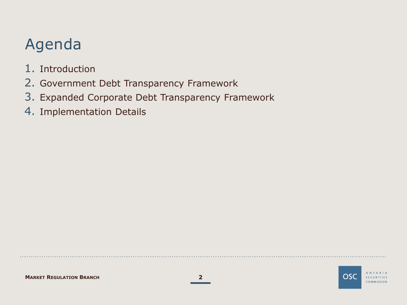## Agenda

- 1. Introduction
- 2. Government Debt Transparency Framework
- 3. Expanded Corporate Debt Transparency Framework
- 4. Implementation Details

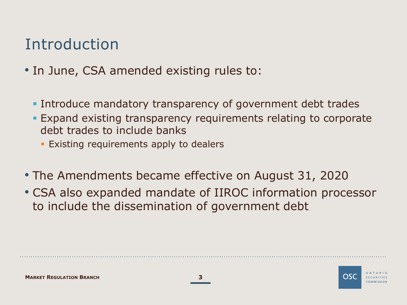### Introduction

- In June, CSA amended existing rules to:
	- **Introduce mandatory transparency of government debt trades**
	- Expand existing transparency requirements relating to corporate debt trades to include banks
		- **Existing requirements apply to dealers**
- The Amendments became effective on August 31, 2020
- CSA also expanded mandate of IIROC information processor to include the dissemination of government debt



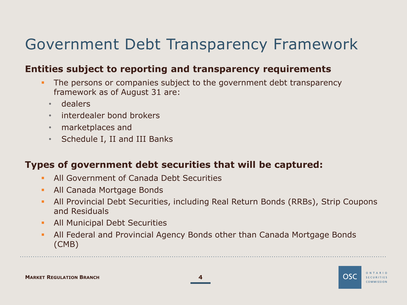## Government Debt Transparency Framework

#### **Entities subject to reporting and transparency requirements**

- The persons or companies subject to the government debt transparency framework as of August 31 are:
	- dealers
	- interdealer bond brokers
	- marketplaces and
	- Schedule I, II and III Banks

#### **Types of government debt securities that will be captured:**

- **All Government of Canada Debt Securities**
- **All Canada Mortgage Bonds**
- All Provincial Debt Securities, including Real Return Bonds (RRBs), Strip Coupons and Residuals
- **All Municipal Debt Securities**
- All Federal and Provincial Agency Bonds other than Canada Mortgage Bonds (CMB)





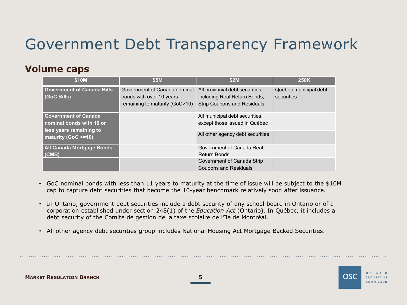## Government Debt Transparency Framework

#### **Volume caps**

| \$10M                                                                                                     | \$5M                                                                                       | \$2M                                                                                                 | <b>250K</b>                         |
|-----------------------------------------------------------------------------------------------------------|--------------------------------------------------------------------------------------------|------------------------------------------------------------------------------------------------------|-------------------------------------|
| <b>Government of Canada Bills</b><br>(GoC Bills)                                                          | Government of Canada nominal<br>bonds with over 10 years<br>remaining to maturity (GoC>10) | All provincial debt securities<br>including Real Return Bonds,<br><b>Strip Coupons and Residuals</b> | Québec municipal debt<br>securities |
| <b>Government of Canada</b><br>nominal bonds with 10 or<br>less years remaining to<br>maturity (GoC <=10) | All municipal debt securities,<br>except those issued in Québec                            |                                                                                                      |                                     |
|                                                                                                           |                                                                                            | All other agency debt securities                                                                     |                                     |
| <b>All Canada Mortgage Bonds</b><br>(CMB)                                                                 |                                                                                            | Government of Canada Real<br><b>Return Bonds</b>                                                     |                                     |
|                                                                                                           |                                                                                            | Government of Canada Strip<br><b>Coupons and Residuals</b>                                           |                                     |

- GoC nominal bonds with less than 11 years to maturity at the time of issue will be subject to the \$10M cap to capture debt securities that become the 10-year benchmark relatively soon after issuance.
- In Ontario, government debt securities include a debt security of any school board in Ontario or of a corporation established under section 248(1) of the *Education Act* (Ontario). In Québec, it includes a debt security of the Comité de gestion de la taxe scolaire de l'île de Montréal.
- All other agency debt securities group includes National Housing Act Mortgage Backed Securities.



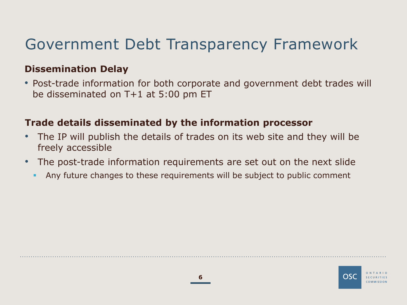### Government Debt Transparency Framework

#### **Dissemination Delay**

• Post-trade information for both corporate and government debt trades will be disseminated on T+1 at 5:00 pm ET

#### **Trade details disseminated by the information processor**

- The IP will publish the details of trades on its web site and they will be freely accessible
- The post-trade information requirements are set out on the next slide
	- Any future changes to these requirements will be subject to public comment

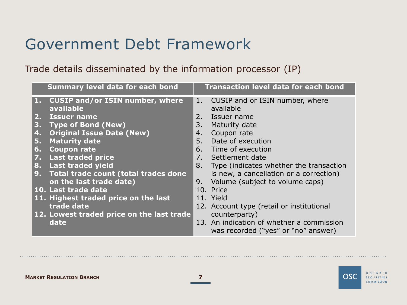### Government Debt Framework

Trade details disseminated by the information processor (IP)

|                           | <b>Summary level data for each bond</b>         |    | <b>Transaction level data for each bond</b>                                      |
|---------------------------|-------------------------------------------------|----|----------------------------------------------------------------------------------|
|                           | 1. CUSIP and/or ISIN number, where<br>available | 1. | CUSIP and or ISIN number, where<br>available                                     |
| $\overline{\mathbf{2}}$ . | <b>Issuer name</b>                              | 2. | Issuer name                                                                      |
| 3.                        | <b>Type of Bond (New)</b>                       | 3. | Maturity date                                                                    |
| 4.                        | <b>Original Issue Date (New)</b>                | 4. | Coupon rate                                                                      |
| 5.                        | <b>Maturity date</b>                            | 5. | Date of execution                                                                |
| 6.                        | <b>Coupon rate</b>                              |    | 6. Time of execution                                                             |
| 7.                        | <b>Last traded price</b>                        |    | 7. Settlement date                                                               |
| 8.                        | <b>Last traded yield</b>                        | 8. | Type (indicates whether the transaction                                          |
| 9.                        | Total trade count (total trades done            |    | is new, a cancellation or a correction)                                          |
|                           | on the last trade date)                         | 9. | Volume (subject to volume caps)                                                  |
|                           | 10. Last trade date                             |    | 10. Price                                                                        |
|                           | 11. Highest traded price on the last            |    | 11. Yield                                                                        |
|                           | trade date                                      |    | 12. Account type (retail or institutional                                        |
|                           | 12. Lowest traded price on the last trade       |    | counterparty)                                                                    |
|                           | date                                            |    | 13. An indication of whether a commission<br>was recorded ("yes" or "no" answer) |

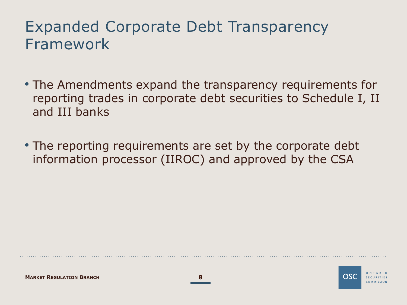### Expanded Corporate Debt Transparency Framework

- The Amendments expand the transparency requirements for reporting trades in corporate debt securities to Schedule I, II and III banks
- The reporting requirements are set by the corporate debt information processor (IIROC) and approved by the CSA